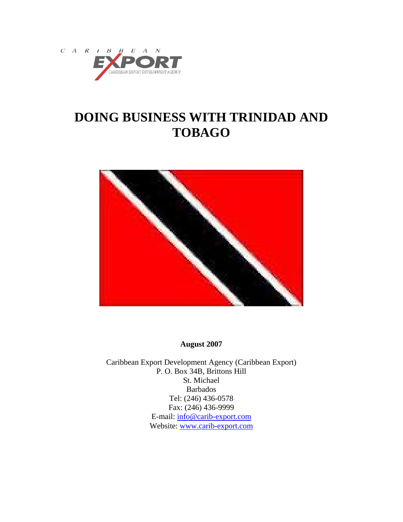



**August 2007** 

Caribbean Export Development Agency (Caribbean Export) P. O. Box 34B, Brittons Hill St. Michael Barbados Tel: (246) 436-0578 Fax: (246) 436-9999 E-mail: [info@carib-export.com](mailto:info@carib-export.com) Website: [www.carib-export.com](http://www.carib-export.com/)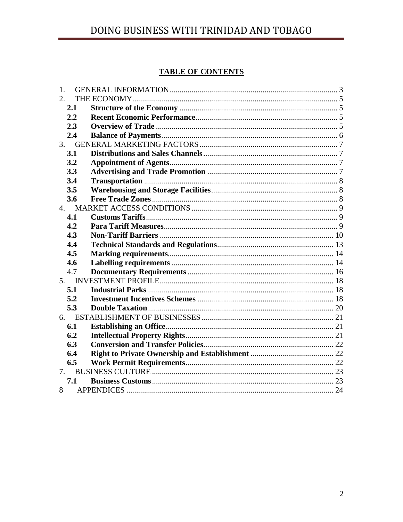# **TABLE OF CONTENTS**

| 1. |     |  |
|----|-----|--|
| 2. |     |  |
|    | 2.1 |  |
|    | 2.2 |  |
|    | 2.3 |  |
|    | 2.4 |  |
|    | 3.  |  |
|    | 3.1 |  |
|    | 3.2 |  |
|    | 3.3 |  |
|    | 3.4 |  |
|    | 3.5 |  |
|    | 3.6 |  |
|    |     |  |
|    | 4.1 |  |
|    | 4.2 |  |
|    | 4.3 |  |
|    | 4.4 |  |
|    | 4.5 |  |
|    | 4.6 |  |
|    | 4.7 |  |
|    | 5.  |  |
|    | 5.1 |  |
|    | 5.2 |  |
|    | 5.3 |  |
| 6. |     |  |
|    | 6.1 |  |
|    | 6.2 |  |
|    | 6.3 |  |
|    | 6.4 |  |
|    | 6.5 |  |
|    | 7.  |  |
|    | 7.1 |  |
| 8  |     |  |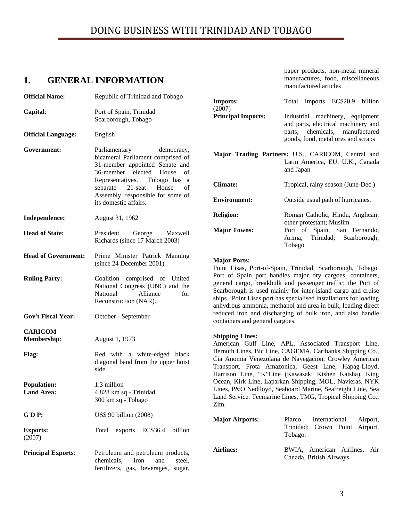# <span id="page-2-0"></span>**1. GENERAL INFORMATION**

| <b>Official Name:</b>      | Republic of Trinidad and Tobago                                                                                                                | <b>Imports:</b>                                                                                                                                                                                                                                                                                                               | Total imports EC\$20.9 billion                                                                     |  |
|----------------------------|------------------------------------------------------------------------------------------------------------------------------------------------|-------------------------------------------------------------------------------------------------------------------------------------------------------------------------------------------------------------------------------------------------------------------------------------------------------------------------------|----------------------------------------------------------------------------------------------------|--|
| Capital:                   | Port of Spain, Trinidad<br>Scarborough, Tobago                                                                                                 | (2007)<br><b>Principal Imports:</b>                                                                                                                                                                                                                                                                                           | Industrial machinery, equipment<br>and parts, electrical machinery and                             |  |
| <b>Official Language:</b>  | English                                                                                                                                        |                                                                                                                                                                                                                                                                                                                               | parts, chemicals, manufactured<br>goods, food, metal ores and scraps                               |  |
| Government:                | Parliamentary<br>democracy,<br>bicameral Parliament comprised of<br>31-member appointed Senate and<br>36-member elected House<br><sub>of</sub> |                                                                                                                                                                                                                                                                                                                               | Major Trading Partners: U.S., CARICOM, Central and<br>Latin America, EU, U.K., Canada<br>and Japan |  |
|                            | Representatives.<br>Tobago has a<br>$21$ -seat<br>House<br>separate<br>of<br>Assembly, responsible for some of                                 | <b>Climate:</b>                                                                                                                                                                                                                                                                                                               | Tropical, rainy season (June-Dec.)                                                                 |  |
|                            | its domestic affairs.                                                                                                                          | <b>Environment:</b>                                                                                                                                                                                                                                                                                                           | Outside usual path of hurricanes.                                                                  |  |
| Independence:              | August 31, 1962                                                                                                                                | <b>Religion:</b>                                                                                                                                                                                                                                                                                                              | Roman Catholic, Hindu, Anglican;<br>other protestant; Muslim                                       |  |
| <b>Head of State:</b>      | President<br>George<br>Maxwell<br>Richards (since 17 March 2003)                                                                               | <b>Major Towns:</b>                                                                                                                                                                                                                                                                                                           | Port of Spain, San Fernando,<br>Trinidad;<br>Scarborough;<br>Arima,<br>Tobago                      |  |
| <b>Head of Government:</b> | Prime Minister Patrick Manning<br>(since 24 December 2001)                                                                                     | <b>Major Ports:</b><br>Point Lisas, Port-of-Spain, Trinidad, Scarborough, Tobago.                                                                                                                                                                                                                                             |                                                                                                    |  |
| <b>Ruling Party:</b>       | Coalition comprised of United<br>National Congress (UNC) and the<br>Alliance<br>National<br>for<br>Reconstruction (NAR).                       | Port of Spain port handles major dry cargoes, containers,<br>general cargo, breakbulk and passenger traffic; the Port of<br>Scarborough is used mainly for inter-island cargo and cruise<br>ships. Point Lisas port has specialised installations for loading<br>anhydrous ammonia, methanol and urea in bulk, loading direct |                                                                                                    |  |
| <b>Gov't Fiscal Year:</b>  | October - September                                                                                                                            | reduced iron and discharging of bulk iron, and also handle<br>containers and general cargoes.                                                                                                                                                                                                                                 |                                                                                                    |  |
| <b>CARICOM</b>             |                                                                                                                                                | <b>Shipping Lines:</b>                                                                                                                                                                                                                                                                                                        |                                                                                                    |  |
| <b>Membership:</b>         | August 1, 1973                                                                                                                                 | American Gulf Line, APL, Associated Transport Line,                                                                                                                                                                                                                                                                           |                                                                                                    |  |
| <b>Flag:</b>               | Red with a white-edged black<br>diagonal band from the upper hoist<br>side.                                                                    | Bernuth Lines, Bic Line, CAGEMA, Caribanks Shipping Co.,<br>Cia Anomia Venezolana de Navegacion, Crowley American<br>Transport, Frota Amazonica, Geest Line, Hapag-Lloyd,<br>Harrison Line, "K"Line (Kawasaki Kishen Kaisha), King                                                                                            |                                                                                                    |  |
| <b>Population:</b>         | 1.3 million                                                                                                                                    |                                                                                                                                                                                                                                                                                                                               | Ocean, Kirk Line, Laparkan Shipping, MOL, Navieras, NYK                                            |  |
| <b>Land Area:</b>          | 4,828 km sq - Trinidad<br>300 km sq - Tobago                                                                                                   | Lines, P&O Nedlloyd, Seaboard Marine, Seafreight Line, Sea<br>Land Service. Tecmarine Lines, TMG, Tropical Shipping Co.,<br>Zim.                                                                                                                                                                                              |                                                                                                    |  |
| GDP:                       | US\$ 90 billion (2008)                                                                                                                         | <b>Major Airports:</b><br>Piarco<br>International<br>Airport,                                                                                                                                                                                                                                                                 |                                                                                                    |  |
| <b>Exports:</b><br>(2007)  | Total exports EC\$36.4<br>billion                                                                                                              |                                                                                                                                                                                                                                                                                                                               | Crown Point Airport,<br>Trinidad;<br>Tobago.                                                       |  |
| <b>Principal Exports:</b>  | Petroleum and petroleum products,<br>chemicals,<br>iron<br>and<br>steel,<br>fertilizers, gas, beverages, sugar,                                | <b>Airlines:</b>                                                                                                                                                                                                                                                                                                              | BWIA, American Airlines, Air<br>Canada, British Airways                                            |  |

paper products, non-metal mineral manufactures, food, miscellaneous

manufactured articles

| <b>Major Airports:</b> | Piarco<br>Trinidad; Crown Point Airport,<br>Tobago.     | International Airport, |  |
|------------------------|---------------------------------------------------------|------------------------|--|
| <b>Airlines:</b>       | BWIA, American Airlines, Air<br>Canada, British Airways |                        |  |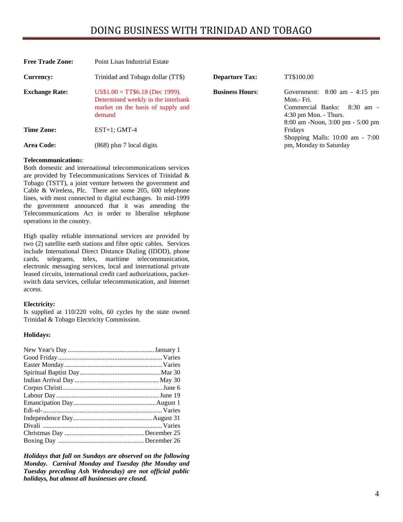| <b>Free Trade Zone:</b> | Point Lisas Industrial Estate                                                                                        |                        |                                                                                                                                                                           |  |  |
|-------------------------|----------------------------------------------------------------------------------------------------------------------|------------------------|---------------------------------------------------------------------------------------------------------------------------------------------------------------------------|--|--|
| <b>Currency:</b>        | Trinidad and Tobago dollar (TT\$)                                                                                    | <b>Departure Tax:</b>  | TT\$100.00                                                                                                                                                                |  |  |
| <b>Exchange Rate:</b>   | $US$1.00 = TTS6.18$ (Dec 1999).<br>Determined weekly in the interbank<br>market on the basis of supply and<br>demand | <b>Business Hours:</b> | Government: $8:00 \text{ am } -4:15 \text{ pm}$<br>Mon.- Fri.<br>Commercial Banks:<br>$8:30 \text{ am } -$<br>$4:30$ pm Mon. - Thurs.<br>8:00 am -Noon, 3:00 pm - 5:00 pm |  |  |
| <b>Time Zone:</b>       | $EST+1$ ; GMT-4                                                                                                      |                        | Fridays                                                                                                                                                                   |  |  |
| Area Code:              | $(868)$ plus 7 local digits                                                                                          |                        | Shopping Malls: $10:00$ am - $7:00$<br>pm, Monday to Saturday                                                                                                             |  |  |

#### **Telecommunication**s:

Both domestic and international telecommunications services are provided by Telecommunications Services of Trinidad & Tobago (TSTT), a joint venture between the government and Cable & Wireless, Plc. There are some 205, 600 telephone lines, with most connected to digital exchanges. In mid-1999 the government announced that it was amending the Telecommunications Act in order to liberalise telephone operations in the country.

High quality reliable international services are provided by two (2) satellite earth stations and fibre optic cables. Services include International Direct Distance Dialing (IDDD), phone cards, telegrams, telex, maritime telecommunication, electronic messaging services, local and international private leased circuits, international credit card authorizations, packetswitch data services, cellular telecommunication, and Internet access.

#### **Electricity:**

Is supplied at 110/220 volts, 60 cycles by the state owned Trinidad & Tobago Electricity Commission.

#### **Holidays:**

*Holidays that fall on Sundays are observed on the following Monday. Carnival Monday and Tuesday (the Monday and Tuesday preceding Ash Wednesday) are not official public holidays, but almost all businesses are closed.*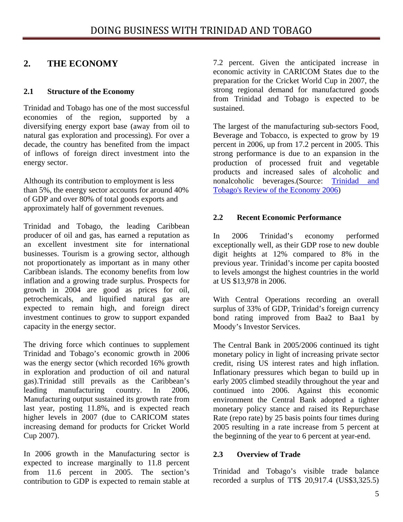# <span id="page-4-0"></span>**2. THE ECONOMY**

# **2.1 Structure of the Economy**

Trinidad and Tobago has one of the most successful economies of the region, supported by a diversifying energy export base (away from oil to natural gas exploration and processing). For over a decade, the country has benefited from the impact of inflows of foreign direct investment into the energy sector.

Although its contribution to employment is less than 5%, the energy sector accounts for around 40% of GDP and over 80% of total goods exports and approximately half of government revenues.

Trinidad and Tobago, the leading Caribbean producer of oil and gas, has earned a reputation as an excellent investment site for international businesses. Tourism is a growing sector, although not proportionately as important as in many other Caribbean islands. The economy benefits from low inflation and a growing trade surplus. Prospects for growth in 2004 are good as prices for oil, petrochemicals, and liquified natural gas are expected to remain high, and foreign direct investment continues to grow to support expanded capacity in the energy sector.

The driving force which continues to supplement Trinidad and Tobago's economic growth in 2006 was the energy sector (which recorded 16% growth in exploration and production of oil and natural gas).Trinidad still prevails as the Caribbean's leading manufacturing country. In 2006, Manufacturing output sustained its growth rate from last year, posting 11.8%, and is expected reach higher levels in 2007 (due to CARICOM states increasing demand for products for Cricket World Cup 2007).

In 2006 growth in the Manufacturing sector is expected to increase marginally to 11.8 percent from 11.6 percent in 2005. The section's contribution to GDP is expected to remain stable at

7.2 percent. Given the anticipated increase in economic activity in CARICOM States due to the preparation for the Cricket World Cup in 2007, the strong regional demand for manufactured goods from Trinidad and Tobago is expected to be sustained.

The largest of the manufacturing sub-sectors Food, Beverage and Tobacco, is expected to grow by 19 percent in 2006, up from 17.2 percent in 2005. This strong performance is due to an expansion in the production of processed fruit and vegetable products and increased sales of alcoholic and nonalcoholic beverages.(Source: [Trinidad and](http://www.finance.gov.tt/documentlibrary/downloads/85/review_economy_2006-07.pdf)  [Tobago's Review of the Economy 2006\)](http://www.finance.gov.tt/documentlibrary/downloads/85/review_economy_2006-07.pdf)

# **2.2 Recent Economic Performance**

In 2006 Trinidad's economy performed exceptionally well, as their GDP rose to new double digit heights at 12% compared to 8% in the previous year. Trinidad's income per capita boosted to levels amongst the highest countries in the world at US \$13,978 in 2006.

With Central Operations recording an overall surplus of 33% of GDP, Trinidad's foreign currency bond rating improved from Baa2 to Baa1 by Moody's Investor Services.

The Central Bank in 2005/2006 continued its tight monetary policy in light of increasing private sector credit, rising US interest rates and high inflation. Inflationary pressures which began to build up in early 2005 climbed steadily throughout the year and continued into 2006. Against this economic environment the Central Bank adopted a tighter monetary policy stance and raised its Repurchase Rate (repo rate) by 25 basis points four times during 2005 resulting in a rate increase from 5 percent at the beginning of the year to 6 percent at year-end.

# **2.3 Overview of Trade**

Trinidad and Tobago's visible trade balance recorded a surplus of TT\$ 20,917.4 (US\$3,325.5)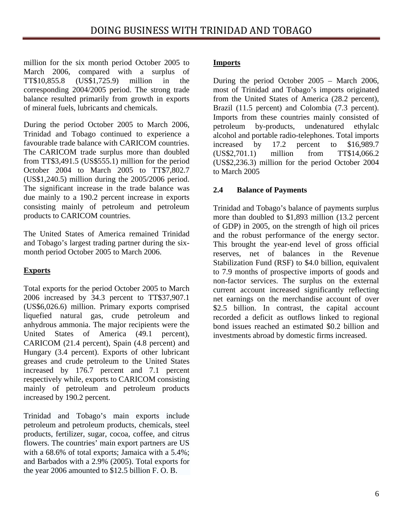<span id="page-5-0"></span>million for the six month period October 2005 to March 2006, compared with a surplus of TT\$10,855.8 (US\$1,725.9) million in the corresponding 2004/2005 period. The strong trade balance resulted primarily from growth in exports of mineral fuels, lubricants and chemicals.

During the period October 2005 to March 2006, Trinidad and Tobago continued to experience a favourable trade balance with CARICOM countries. The CARICOM trade surplus more than doubled from TT\$3,491.5 (US\$555.1) million for the period October 2004 to March 2005 to TT\$7,802.7 (US\$1,240.5) million during the 2005/2006 period. The significant increase in the trade balance was due mainly to a 190.2 percent increase in exports consisting mainly of petroleum and petroleum products to CARICOM countries.

The United States of America remained Trinidad and Tobago's largest trading partner during the sixmonth period October 2005 to March 2006.

# **Exports**

Total exports for the period October 2005 to March 2006 increased by 34.3 percent to TT\$37,907.1 (US\$6,026.6) million. Primary exports comprised liquefied natural gas, crude petroleum and anhydrous ammonia. The major recipients were the United States of America (49.1 percent), CARICOM (21.4 percent), Spain (4.8 percent) and Hungary (3.4 percent). Exports of other lubricant greases and crude petroleum to the United States increased by 176.7 percent and 7.1 percent respectively while, exports to CARICOM consisting mainly of petroleum and petroleum products increased by 190.2 percent.

Trinidad and Tobago's main exports include petroleum and petroleum products, chemicals, steel products, fertilizer, sugar, cocoa, coffee, and citrus flowers. The countries' main export partners are US with a 68.6% of total exports; Jamaica with a 5.4%; and Barbados with a 2.9% (2005). Total exports for the year 2006 amounted to \$12.5 billion F. O. B.

# **Imports**

During the period October 2005 – March 2006, most of Trinidad and Tobago's imports originated from the United States of America (28.2 percent), Brazil (11.5 percent) and Colombia (7.3 percent). Imports from these countries mainly consisted of petroleum by-products, undenatured ethylalc alcohol and portable radio-telephones. Total imports increased by 17.2 percent to \$16,989.7 (US\$2,701.1) million from TT\$14,066.2 (US\$2,236.3) million for the period October 2004 to March 2005

# **2.4 Balance of Payments**

Trinidad and Tobago's balance of payments surplus more than doubled to \$1,893 million (13.2 percent of GDP) in 2005, on the strength of high oil prices and the robust performance of the energy sector. This brought the year-end level of gross official reserves, net of balances in the Revenue Stabilization Fund (RSF) to \$4.0 billion, equivalent to 7.9 months of prospective imports of goods and non-factor services. The surplus on the external current account increased significantly reflecting net earnings on the merchandise account of over \$2.5 billion. In contrast, the capital account recorded a deficit as outflows linked to regional bond issues reached an estimated \$0.2 billion and investments abroad by domestic firms increased.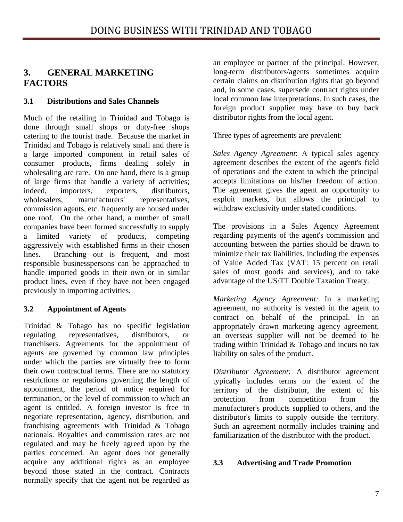# <span id="page-6-0"></span>**3. GENERAL MARKETING FACTORS**

# **3.1 Distributions and Sales Channels**

Much of the retailing in Trinidad and Tobago is done through small shops or duty-free shops catering to the tourist trade. Because the market in Trinidad and Tobago is relatively small and there is a large imported component in retail sales of consumer products, firms dealing solely in wholesaling are rare. On one hand, there is a group of large firms that handle a variety of activities; indeed, importers, exporters, distributors, wholesalers, manufacturers' representatives, commission agents, etc. frequently are housed under one roof. On the other hand, a number of small companies have been formed successfully to supply a limited variety of products, competing aggressively with established firms in their chosen lines. Branching out is frequent, and most responsible businesspersons can be approached to handle imported goods in their own or in similar product lines, even if they have not been engaged previously in importing activities.

# **3.2 Appointment of Agents**

Trinidad & Tobago has no specific legislation regulating representatives, distributors, or franchisers. Agreements for the appointment of agents are governed by common law principles under which the parties are virtually free to form their own contractual terms. There are no statutory restrictions or regulations governing the length of appointment, the period of notice required for termination, or the level of commission to which an agent is entitled. A foreign investor is free to negotiate representation, agency, distribution, and franchising agreements with Trinidad & Tobago nationals. Royalties and commission rates are not regulated and may be freely agreed upon by the parties concerned. An agent does not generally acquire any additional rights as an employee beyond those stated in the contract. Contracts normally specify that the agent not be regarded as

an employee or partner of the principal. However, long-term distributors/agents sometimes acquire certain claims on distribution rights that go beyond and, in some cases, supersede contract rights under local common law interpretations. In such cases, the foreign product supplier may have to buy back distributor rights from the local agent.

Three types of agreements are prevalent:

*Sales Agency Agreement*: A typical sales agency agreement describes the extent of the agent's field of operations and the extent to which the principal accepts limitations on his/her freedom of action. The agreement gives the agent an opportunity to exploit markets, but allows the principal to withdraw exclusivity under stated conditions.

The provisions in a Sales Agency Agreement regarding payments of the agent's commission and accounting between the parties should be drawn to minimize their tax liabilities, including the expenses of Value Added Tax (VAT: 15 percent on retail sales of most goods and services), and to take advantage of the US/TT Double Taxation Treaty.

*Marketing Agency Agreement:* In a marketing agreement, no authority is vested in the agent to contract on behalf of the principal. In an appropriately drawn marketing agency agreement, an overseas supplier will not be deemed to be trading within Trinidad & Tobago and incurs no tax liability on sales of the product.

*Distributor Agreement:* A distributor agreement typically includes terms on the extent of the territory of the distributor, the extent of his protection from competition from the manufacturer's products supplied to others, and the distributor's limits to supply outside the territory. Such an agreement normally includes training and familiarization of the distributor with the product.

# **3.3 Advertising and Trade Promotion**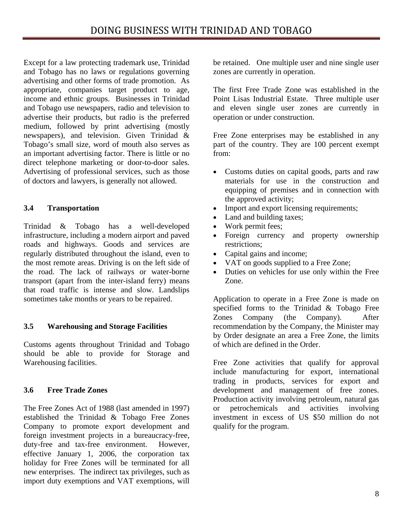<span id="page-7-0"></span>Except for a law protecting trademark use, Trinidad and Tobago has no laws or regulations governing advertising and other forms of trade promotion. As appropriate, companies target product to age, income and ethnic groups. Businesses in Trinidad and Tobago use newspapers, radio and television to advertise their products, but radio is the preferred medium, followed by print advertising (mostly newspapers), and television. Given Trinidad & Tobago's small size, word of mouth also serves as an important advertising factor. There is little or no direct telephone marketing or door-to-door sales. Advertising of professional services, such as those of doctors and lawyers, is generally not allowed.

# **3.4 Transportation**

Trinidad & Tobago has a well-developed infrastructure, including a modern airport and paved roads and highways. Goods and services are regularly distributed throughout the island, even to the most remote areas. Driving is on the left side of the road. The lack of railways or water-borne transport (apart from the inter-island ferry) means that road traffic is intense and slow. Landslips sometimes take months or years to be repaired.

# **3.5 Warehousing and Storage Facilities**

Customs agents throughout Trinidad and Tobago should be able to provide for Storage and Warehousing facilities.

# **3.6 Free Trade Zones**

The Free Zones Act of 1988 (last amended in 1997) established the Trinidad & Tobago Free Zones Company to promote export development and foreign investment projects in a bureaucracy-free, duty-free and tax-free environment. However, effective January 1, 2006, the corporation tax holiday for Free Zones will be terminated for all new enterprises. The indirect tax privileges, such as import duty exemptions and VAT exemptions, will

be retained. One multiple user and nine single user zones are currently in operation.

The first Free Trade Zone was established in the Point Lisas Industrial Estate. Three multiple user and eleven single user zones are currently in operation or under construction.

Free Zone enterprises may be established in any part of the country. They are 100 percent exempt from:

- Customs duties on capital goods, parts and raw materials for use in the construction and equipping of premises and in connection with the approved activity;
- Import and export licensing requirements;
- Land and building taxes;
- Work permit fees;
- Foreign currency and property ownership restrictions;
- Capital gains and income;
- VAT on goods supplied to a Free Zone;
- Duties on vehicles for use only within the Free Zone.

Application to operate in a Free Zone is made on specified forms to the Trinidad & Tobago Free Zones Company (the Company). After recommendation by the Company, the Minister may by Order designate an area a Free Zone, the limits of which are defined in the Order.

Free Zone activities that qualify for approval include manufacturing for export, international trading in products, services for export and development and management of free zones. Production activity involving petroleum, natural gas or petrochemicals and activities involving investment in excess of US \$50 million do not qualify for the program.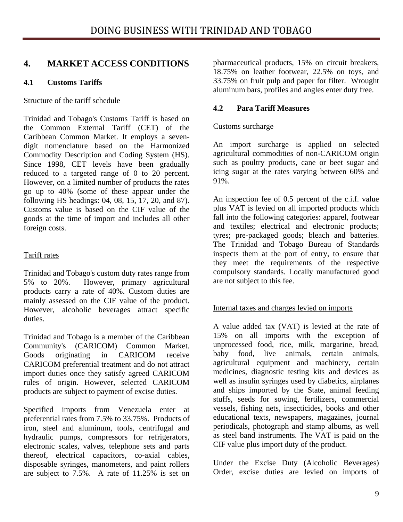# <span id="page-8-0"></span>**4. MARKET ACCESS CONDITIONS**

# **4.1 Customs Tariffs**

Structure of the tariff schedule

Trinidad and Tobago's Customs Tariff is based on the Common External Tariff (CET) of the Caribbean Common Market. It employs a sevendigit nomenclature based on the Harmonized Commodity Description and Coding System (HS). Since 1998, CET levels have been gradually reduced to a targeted range of 0 to 20 percent. However, on a limited number of products the rates go up to 40% (some of these appear under the following HS headings: 04, 08, 15, 17, 20, and 87). Customs value is based on the CIF value of the goods at the time of import and includes all other foreign costs.

# Tariff rates

Trinidad and Tobago's custom duty rates range from 5% to 20%. However, primary agricultural products carry a rate of 40%. Custom duties are mainly assessed on the CIF value of the product. However, alcoholic beverages attract specific duties.

Trinidad and Tobago is a member of the Caribbean Community's (CARICOM) Common Market. Goods originating in CARICOM receive CARICOM preferential treatment and do not attract import duties once they satisfy agreed CARICOM rules of origin. However, selected CARICOM products are subject to payment of excise duties.

Specified imports from Venezuela enter at preferential rates from 7.5% to 33.75%. Products of iron, steel and aluminum, tools, centrifugal and hydraulic pumps, compressors for refrigerators, electronic scales, valves, telephone sets and parts thereof, electrical capacitors, co-axial cables, disposable syringes, manometers, and paint rollers are subject to 7.5%. A rate of 11.25% is set on pharmaceutical products, 15% on circuit breakers, 18.75% on leather footwear, 22.5% on toys, and 33.75% on fruit pulp and paper for filter. Wrought aluminum bars, profiles and angles enter duty free.

# **4.2 Para Tariff Measures**

# Customs surcharge

An import surcharge is applied on selected agricultural commodities of non-CARICOM origin such as poultry products, cane or beet sugar and icing sugar at the rates varying between 60% and 91%.

An inspection fee of 0.5 percent of the c.i.f. value plus VAT is levied on all imported products which fall into the following categories: apparel, footwear and textiles; electrical and electronic products; tyres; pre-packaged goods; bleach and batteries. The Trinidad and Tobago Bureau of Standards inspects them at the port of entry, to ensure that they meet the requirements of the respective compulsory standards. Locally manufactured good are not subject to this fee.

# Internal taxes and charges levied on imports

A value added tax (VAT) is levied at the rate of 15% on all imports with the exception of unprocessed food, rice, milk, margarine, bread, baby food, live animals, certain animals, agricultural equipment and machinery, certain medicines, diagnostic testing kits and devices as well as insulin syringes used by diabetics, airplanes and ships imported by the State, animal feeding stuffs, seeds for sowing, fertilizers, commercial vessels, fishing nets, insecticides, books and other educational texts, newspapers, magazines, journal periodicals, photograph and stamp albums, as well as steel band instruments. The VAT is paid on the CIF value plus import duty of the product.

Under the Excise Duty (Alcoholic Beverages) Order, excise duties are levied on imports of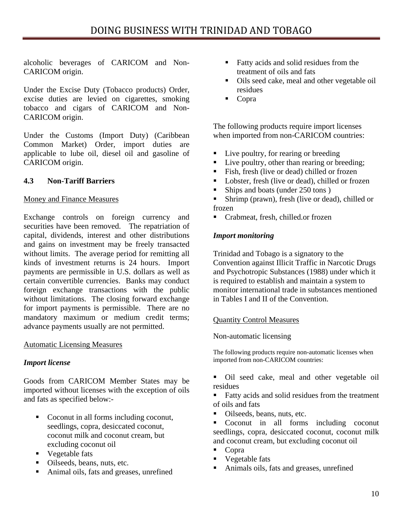<span id="page-9-0"></span>alcoholic beverages of CARICOM and Non-CARICOM origin.

Under the Excise Duty (Tobacco products) Order, excise duties are levied on cigarettes, smoking tobacco and cigars of CARICOM and Non-CARICOM origin.

Under the Customs (Import Duty) (Caribbean Common Market) Order, import duties are applicable to lube oil, diesel oil and gasoline of CARICOM origin.

# **4.3 Non-Tariff Barriers**

# Money and Finance Measures

Exchange controls on foreign currency and securities have been removed. The repatriation of capital, dividends, interest and other distributions and gains on investment may be freely transacted without limits. The average period for remitting all kinds of investment returns is 24 hours. Import payments are permissible in U.S. dollars as well as certain convertible currencies. Banks may conduct foreign exchange transactions with the public without limitations. The closing forward exchange for import payments is permissible. There are no mandatory maximum or medium credit terms; advance payments usually are not permitted.

# Automatic Licensing Measures

# *Import license*

Goods from CARICOM Member States may be imported without licenses with the exception of oils and fats as specified below:-

- Coconut in all forms including coconut, seedlings, copra, desiccated coconut, coconut milk and coconut cream, but excluding coconut oil
- **vegetable fats**
- Oilseeds, beans, nuts, etc.
- Animal oils, fats and greases, unrefined
- Fatty acids and solid residues from the treatment of oils and fats
- Oils seed cake, meal and other vegetable oil residues
- Copra

The following products require import licenses when imported from non-CARICOM countries:

- Live poultry, for rearing or breeding
- Live poultry, other than rearing or breeding;
- Fish, fresh (live or dead) chilled or frozen
- Lobster, fresh (live or dead), chilled or frozen
- Ships and boats (under 250 tons)
- Shrimp (prawn), fresh (live or dead), chilled or frozen
- Crabmeat, fresh, chilled.or frozen

# *Import monitoring*

Trinidad and Tobago is a signatory to the Convention against Illicit Traffic in Narcotic Drugs and Psychotropic Substances (1988) under which it is required to establish and maintain a system to monitor international trade in substances mentioned in Tables I and II of the Convention.

# Quantity Control Measures

# Non-automatic licensing

The following products require non-automatic licenses when imported from non-CARICOM countries:

- Oil seed cake, meal and other vegetable oil residues
- Fatty acids and solid residues from the treatment of oils and fats
- Oilseeds, beans, nuts, etc.
- Coconut in all forms including coconut seedlings, copra, desiccated coconut, coconut milk and coconut cream, but excluding coconut oil
- Copra
- **vegetable fats**
- Animals oils, fats and greases, unrefined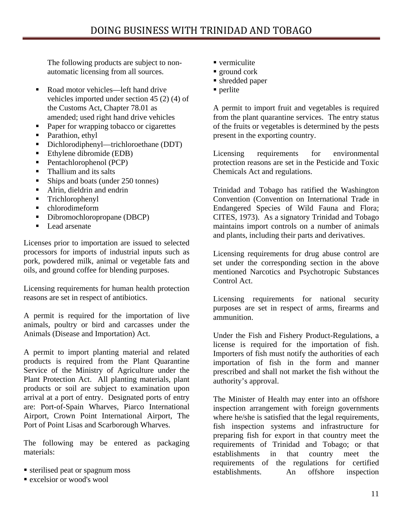The following products are subject to nonautomatic licensing from all sources.

- Road motor vehicles—left hand drive vehicles imported under section 45 (2) (4) of the Customs Act, Chapter 78.01 as amended; used right hand drive vehicles
- Paper for wrapping tobacco or cigarettes
- Parathion, ethyl
- Dichlorodiphenyl—trichloroethane (DDT)
- Ethylene dibromide (EDB)
- Pentachlorophenol (PCP)
- Thallium and its salts
- Ships and boats (under 250 tonnes)
- Alrin, dieldrin and endrin
- **Trichlorophenyl**
- chlorodimeform
- Dibromochloropropane (DBCP)
- Lead arsenate

Licenses prior to importation are issued to selected processors for imports of industrial inputs such as pork, powdered milk, animal or vegetable fats and oils, and ground coffee for blending purposes.

Licensing requirements for human health protection reasons are set in respect of antibiotics.

A permit is required for the importation of live animals, poultry or bird and carcasses under the Animals (Disease and Importation) Act.

A permit to import planting material and related products is required from the Plant Quarantine Service of the Ministry of Agriculture under the Plant Protection Act. All planting materials, plant products or soil are subject to examination upon arrival at a port of entry. Designated ports of entry are: Port-of-Spain Wharves, Piarco International Airport, Crown Point International Airport, The Port of Point Lisas and Scarborough Wharves.

The following may be entered as packaging materials:

- sterilised peat or spagnum moss
- **Excelsior or wood's wool**
- vermiculite
- **ground cork**
- shredded paper
- $\blacksquare$  perlite

A permit to import fruit and vegetables is required from the plant quarantine services. The entry status of the fruits or vegetables is determined by the pests present in the exporting country.

Licensing requirements for environmental protection reasons are set in the Pesticide and Toxic Chemicals Act and regulations.

Trinidad and Tobago has ratified the Washington Convention (Convention on International Trade in Endangered Species of Wild Fauna and Flora; CITES, 1973). As a signatory Trinidad and Tobago maintains import controls on a number of animals and plants, including their parts and derivatives.

Licensing requirements for drug abuse control are set under the corresponding section in the above mentioned Narcotics and Psychotropic Substances Control Act.

Licensing requirements for national security purposes are set in respect of arms, firearms and ammunition.

Under the Fish and Fishery Product-Regulations, a license is required for the importation of fish. Importers of fish must notify the authorities of each importation of fish in the form and manner prescribed and shall not market the fish without the authority's approval.

The Minister of Health may enter into an offshore inspection arrangement with foreign governments where he/she is satisfied that the legal requirements, fish inspection systems and infrastructure for preparing fish for export in that country meet the requirements of Trinidad and Tobago; or that establishments in that country meet the requirements of the regulations for certified establishments. An offshore inspection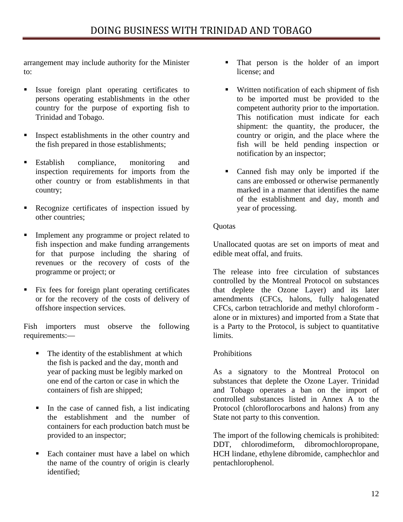arrangement may include authority for the Minister to:

- Issue foreign plant operating certificates to persons operating establishments in the other country for the purpose of exporting fish to Trinidad and Tobago.
- **Inspect establishments in the other country and** the fish prepared in those establishments;
- **Establish** compliance, monitoring and inspection requirements for imports from the other country or from establishments in that country;
- Recognize certificates of inspection issued by other countries;
- Implement any programme or project related to fish inspection and make funding arrangements for that purpose including the sharing of revenues or the recovery of costs of the programme or project; or
- **Fix fees for foreign plant operating certificates** or for the recovery of the costs of delivery of offshore inspection services.

Fish importers must observe the following requirements:—

- The identity of the establishment at which the fish is packed and the day, month and year of packing must be legibly marked on one end of the carton or case in which the containers of fish are shipped;
- In the case of canned fish, a list indicating the establishment and the number of containers for each production batch must be provided to an inspector;
- Each container must have a label on which the name of the country of origin is clearly identified;
- That person is the holder of an import license; and
- Written notification of each shipment of fish to be imported must be provided to the competent authority prior to the importation. This notification must indicate for each shipment: the quantity, the producer, the country or origin, and the place where the fish will be held pending inspection or notification by an inspector;
- Canned fish may only be imported if the cans are embossed or otherwise permanently marked in a manner that identifies the name of the establishment and day, month and year of processing.

# **Ouotas**

Unallocated quotas are set on imports of meat and edible meat offal, and fruits.

The release into free circulation of substances controlled by the Montreal Protocol on substances that deplete the Ozone Layer) and its later amendments (CFCs, halons, fully halogenated CFCs, carbon tetrachloride and methyl chloroform alone or in mixtures) and imported from a State that is a Party to the Protocol, is subject to quantitative limits.

# **Prohibitions**

As a signatory to the Montreal Protocol on substances that deplete the Ozone Layer. Trinidad and Tobago operates a ban on the import of controlled substances listed in Annex A to the Protocol (chloroflorocarbons and halons) from any State not party to this convention.

The import of the following chemicals is prohibited: DDT, chlorodimeform, dibromochloropropane, HCH lindane, ethylene dibromide, camphechlor and pentachlorophenol.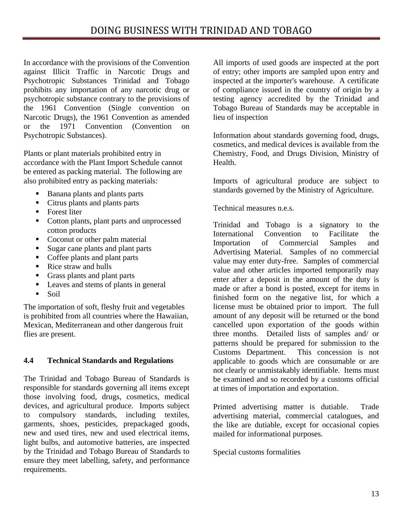<span id="page-12-0"></span>In accordance with the provisions of the Convention against Illicit Traffic in Narcotic Drugs and Psychotropic Substances Trinidad and Tobago prohibits any importation of any narcotic drug or psychotropic substance contrary to the provisions of the 1961 Convention (Single convention on Narcotic Drugs), the 1961 Convention as amended or the 1971 Convention (Convention on Psychotropic Substances).

Plants or plant materials prohibited entry in accordance with the Plant Import Schedule cannot be entered as packing material. The following are also prohibited entry as packing materials:

- Banana plants and plants parts
- Citrus plants and plants parts
- Forest liter
- Cotton plants, plant parts and unprocessed cotton products
- Coconut or other palm material
- Sugar cane plants and plant parts
- Coffee plants and plant parts
- Rice straw and hulls
- Grass plants and plant parts
- Leaves and stems of plants in general
- $\blacksquare$  Soil

The importation of soft, fleshy fruit and vegetables is prohibited from all countries where the Hawaiian, Mexican, Mediterranean and other dangerous fruit flies are present.

# **4.4 Technical Standards and Regulations**

The Trinidad and Tobago Bureau of Standards is responsible for standards governing all items except those involving food, drugs, cosmetics, medical devices, and agricultural produce. Imports subject to compulsory standards, including textiles, garments, shoes, pesticides, prepackaged goods, new and used tires, new and used electrical items, light bulbs, and automotive batteries, are inspected by the Trinidad and Tobago Bureau of Standards to ensure they meet labelling, safety, and performance requirements.

All imports of used goods are inspected at the port of entry; other imports are sampled upon entry and inspected at the importer's warehouse. A certificate of compliance issued in the country of origin by a testing agency accredited by the Trinidad and Tobago Bureau of Standards may be acceptable in lieu of inspection

Information about standards governing food, drugs, cosmetics, and medical devices is available from the Chemistry, Food, and Drugs Division, Ministry of Health.

Imports of agricultural produce are subject to standards governed by the Ministry of Agriculture.

Technical measures n.e.s.

Trinidad and Tobago is a signatory to the International Convention to Facilitate the Importation of Commercial Samples and Advertising Material. Samples of no commercial value may enter duty-free. Samples of commercial value and other articles imported temporarily may enter after a deposit in the amount of the duty is made or after a bond is posted, except for items in finished form on the negative list, for which a license must be obtained prior to import. The full amount of any deposit will be returned or the bond cancelled upon exportation of the goods within three months. Detailed lists of samples and/ or patterns should be prepared for submission to the Customs Department. This concession is not applicable to goods which are consumable or are not clearly or unmistakably identifiable. Items must be examined and so recorded by a customs official at times of importation and exportation.

Printed advertising matter is dutiable. Trade advertising material, commercial catalogues, and the like are dutiable, except for occasional copies mailed for informational purposes.

Special customs formalities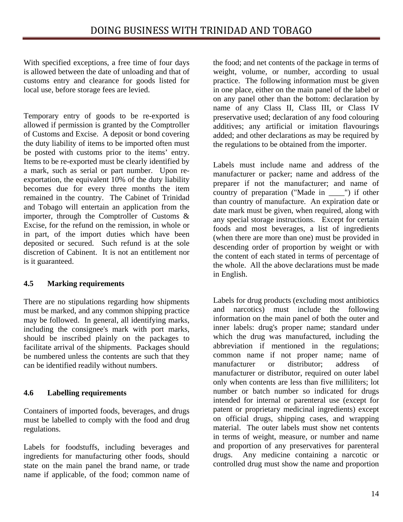<span id="page-13-0"></span>With specified exceptions, a free time of four days is allowed between the date of unloading and that of customs entry and clearance for goods listed for local use, before storage fees are levied.

Temporary entry of goods to be re-exported is allowed if permission is granted by the Comptroller of Customs and Excise. A deposit or bond covering the duty liability of items to be imported often must be posted with customs prior to the items' entry. Items to be re-exported must be clearly identified by a mark, such as serial or part number. Upon reexportation, the equivalent 10% of the duty liability becomes due for every three months the item remained in the country. The Cabinet of Trinidad and Tobago will entertain an application from the importer, through the Comptroller of Customs & Excise, for the refund on the remission, in whole or in part, of the import duties which have been deposited or secured. Such refund is at the sole discretion of Cabinent. It is not an entitlement nor is it guaranteed.

# **4.5 Marking requirements**

There are no stipulations regarding how shipments must be marked, and any common shipping practice may be followed. In general, all identifying marks, including the consignee's mark with port marks, should be inscribed plainly on the packages to facilitate arrival of the shipments. Packages should be numbered unless the contents are such that they can be identified readily without numbers.

# **4.6 Labelling requirements**

Containers of imported foods, beverages, and drugs must be labelled to comply with the food and drug regulations.

Labels for foodstuffs, including beverages and ingredients for manufacturing other foods, should state on the main panel the brand name, or trade name if applicable, of the food; common name of

the food; and net contents of the package in terms of weight, volume, or number, according to usual practice. The following information must be given in one place, either on the main panel of the label or on any panel other than the bottom: declaration by name of any Class II, Class III, or Class IV preservative used; declaration of any food colouring additives; any artificial or imitation flavourings added; and other declarations as may be required by the regulations to be obtained from the importer.

Labels must include name and address of the manufacturer or packer; name and address of the preparer if not the manufacturer; and name of country of preparation ("Made in \_\_\_\_") if other than country of manufacture. An expiration date or date mark must be given, when required, along with any special storage instructions. Except for certain foods and most beverages, a list of ingredients (when there are more than one) must be provided in descending order of proportion by weight or with the content of each stated in terms of percentage of the whole. All the above declarations must be made in English.

Labels for drug products (excluding most antibiotics and narcotics) must include the following information on the main panel of both the outer and inner labels: drug's proper name; standard under which the drug was manufactured, including the abbreviation if mentioned in the regulations; common name if not proper name; name of manufacturer or distributor; address of manufacturer or distributor, required on outer label only when contents are less than five milliliters; lot number or batch number so indicated for drugs intended for internal or parenteral use (except for patent or proprietary medicinal ingredients) except on official drugs, shipping cases, and wrapping material. The outer labels must show net contents in terms of weight, measure, or number and name and proportion of any preservatives for parenteral drugs. Any medicine containing a narcotic or controlled drug must show the name and proportion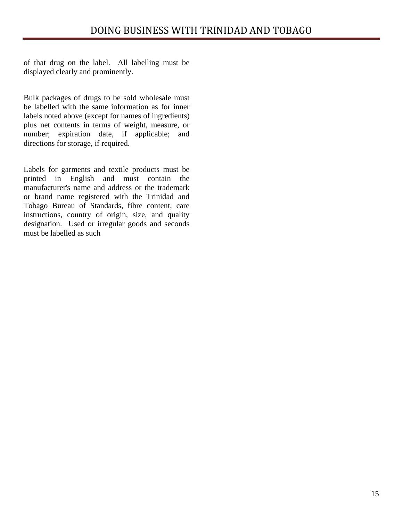of that drug on the label. All labelling must be displayed clearly and prominently.

Bulk packages of drugs to be sold wholesale must be labelled with the same information as for inner labels noted above (except for names of ingredients) plus net contents in terms of weight, measure, or number; expiration date, if applicable; and directions for storage, if required.

Labels for garments and textile products must be printed in English and must contain the manufacturer's name and address or the trademark or brand name registered with the Trinidad and Tobago Bureau of Standards, fibre content, care instructions, country of origin, size, and quality designation. Used or irregular goods and seconds must be labelled as such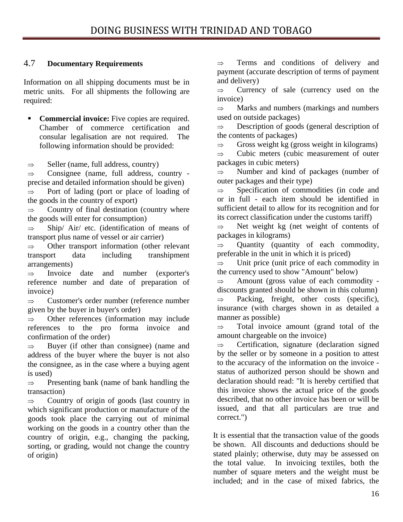# <span id="page-15-0"></span>4.7 **Documentary Requirements**

Information on all shipping documents must be in metric units. For all shipments the following are required:

 **Commercial invoice:** Five copies are required. Chamber of commerce certification and consular legalisation are not required. The following information should be provided:

 $\Rightarrow$  Seller (name, full address, country)

 $\Rightarrow$  Consignee (name, full address, country precise and detailed information should be given)

⇒ Port of lading (port or place of loading of the goods in the country of export)

 $\Rightarrow$  Country of final destination (country where the goods will enter for consumption)

⇒ Ship/ Air/ etc. (identification of means of transport plus name of vessel or air carrier)

⇒ Other transport information (other relevant transport data including transhipment arrangements)

⇒ Invoice date and number (exporter's reference number and date of preparation of invoice)

⇒ Customer's order number (reference number given by the buyer in buyer's order)

 $\Rightarrow$  Other references (information may include references to the pro forma invoice and confirmation of the order)

 $\Rightarrow$  Buyer (if other than consignee) (name and address of the buyer where the buyer is not also the consignee, as in the case where a buying agent is used)

 $\Rightarrow$  Presenting bank (name of bank handling the transaction)

 $\Rightarrow$  Country of origin of goods (last country in which significant production or manufacture of the goods took place the carrying out of minimal working on the goods in a country other than the country of origin, e.g., changing the packing, sorting, or grading, would not change the country of origin)

 $\Rightarrow$  Terms and conditions of delivery and payment (accurate description of terms of payment and delivery)

 $\Rightarrow$  Currency of sale (currency used on the invoice)

 $\Rightarrow$  Marks and numbers (markings and numbers used on outside packages)

⇒ Description of goods (general description of the contents of packages)

 $\Rightarrow$  Gross weight kg (gross weight in kilograms)

⇒ Cubic meters (cubic measurement of outer packages in cubic meters)

 $\Rightarrow$  Number and kind of packages (number of outer packages and their type)

⇒ Specification of commodities (in code and or in full - each item should be identified in sufficient detail to allow for its recognition and for its correct classification under the customs tariff)

 $\Rightarrow$  Net weight kg (net weight of contents of packages in kilograms)

 $\Rightarrow$  Quantity (quantity of each commodity, preferable in the unit in which it is priced)

 $\Rightarrow$  Unit price (unit price of each commodity in the currency used to show "Amount" below)

 $\Rightarrow$  Amount (gross value of each commodity discounts granted should be shown in this column)

 $\Rightarrow$  Packing, freight, other costs (specific), insurance (with charges shown in as detailed a manner as possible)

 $\Rightarrow$  Total invoice amount (grand total of the amount chargeable on the invoice)

 $\Rightarrow$  Certification, signature (declaration signed by the seller or by someone in a position to attest to the accuracy of the information on the invoice status of authorized person should be shown and declaration should read: "It is hereby certified that this invoice shows the actual price of the goods described, that no other invoice has been or will be issued, and that all particulars are true and correct.")

It is essential that the transaction value of the goods be shown. All discounts and deductions should be stated plainly; otherwise, duty may be assessed on the total value. In invoicing textiles, both the number of square meters and the weight must be included; and in the case of mixed fabrics, the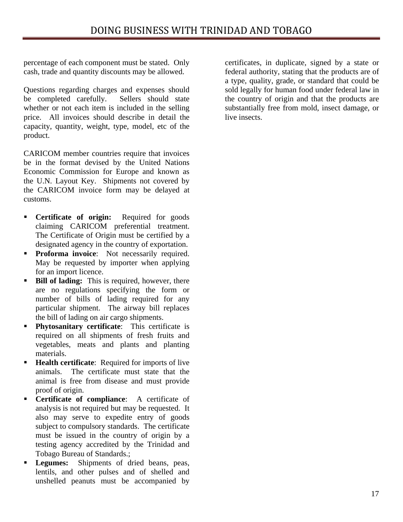percentage of each component must be stated. Only cash, trade and quantity discounts may be allowed.

Questions regarding charges and expenses should be completed carefully. Sellers should state whether or not each item is included in the selling price. All invoices should describe in detail the capacity, quantity, weight, type, model, etc of the product.

CARICOM member countries require that invoices be in the format devised by the United Nations Economic Commission for Europe and known as the U.N. Layout Key. Shipments not covered by the CARICOM invoice form may be delayed at customs.

- **•** Certificate of origin: Required for goods claiming CARICOM preferential treatment. The Certificate of Origin must be certified by a designated agency in the country of exportation.
- **Proforma invoice:** Not necessarily required. May be requested by importer when applying for an import licence.
- **Bill of lading:** This is required, however, there are no regulations specifying the form or number of bills of lading required for any particular shipment. The airway bill replaces the bill of lading on air cargo shipments.
- $\blacksquare$ **Phytosanitary certificate**: This certificate is required on all shipments of fresh fruits and vegetables, meats and plants and planting materials.
- **Health certificate:** Required for imports of live animals. The certificate must state that the animal is free from disease and must provide proof of origin.
- **•** Certificate of compliance: A certificate of analysis is not required but may be requested. It also may serve to expedite entry of goods subject to compulsory standards. The certificate must be issued in the country of origin by a testing agency accredited by the Trinidad and Tobago Bureau of Standards.;
- **Legumes:** Shipments of dried beans, peas, lentils, and other pulses and of shelled and unshelled peanuts must be accompanied by

certificates, in duplicate, signed by a state or federal authority, stating that the products are of a type, quality, grade, or standard that could be sold legally for human food under federal law in the country of origin and that the products are substantially free from mold, insect damage, or live insects.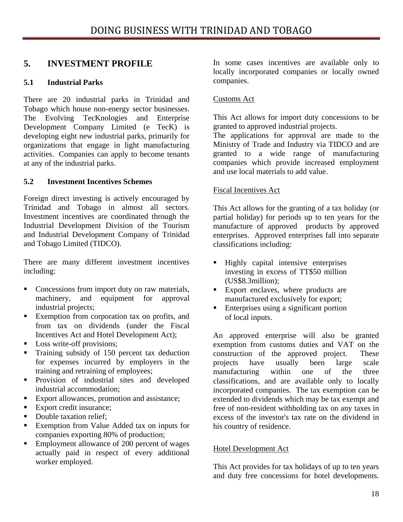# <span id="page-17-0"></span>**5. INVESTMENT PROFILE**

# **5.1 Industrial Parks**

There are 20 industrial parks in Trinidad and Tobago which house non-energy sector businesses. The Evolving TecKnologies and Enterprise Development Company Limited (e TecK) is developing eight new industrial parks, primarily for organizations that engage in light manufacturing activities. Companies can apply to become tenants at any of the industrial parks.

# **5.2 Investment Incentives Schemes**

Foreign direct investing is actively encouraged by Trinidad and Tobago in almost all sectors. Investment incentives are coordinated through the Industrial Development Division of the Tourism and Industrial Development Company of Trinidad and Tobago Limited (TIDCO).

There are many different investment incentives including:

- Concessions from import duty on raw materials, machinery, and equipment for approval industrial projects;
- Exemption from corporation tax on profits, and from tax on dividends (under the Fiscal Incentives Act and Hotel Development Act);
- Loss write-off provisions;
- Training subsidy of 150 percent tax deduction for expenses incurred by employers in the training and retraining of employees;
- **Provision of industrial sites and developed** industrial accommodation;
- Export allowances, promotion and assistance;
- Export credit insurance;
- Double taxation relief;
- Exemption from Value Added tax on inputs for companies exporting 80% of production;
- Employment allowance of  $200$  percent of wages actually paid in respect of every additional worker employed.

In some cases incentives are available only to locally incorporated companies or locally owned companies.

# Customs Act

This Act allows for import duty concessions to be granted to approved industrial projects.

The applications for approval are made to the Ministry of Trade and Industry via TIDCO and are granted to a wide range of manufacturing companies which provide increased employment and use local materials to add value.

# Fiscal Incentives Act

This Act allows for the granting of a tax holiday (or partial holiday) for periods up to ten years for the manufacture of approved products by approved enterprises. Approved enterprises fall into separate classifications including:

- **Highly capital intensive enterprises** investing in excess of TT\$50 million (US\$8.3million);
- Export enclaves, where products are manufactured exclusively for export;
- Enterprises using a significant portion of local inputs.

An approved enterprise will also be granted exemption from customs duties and VAT on the construction of the approved project. These projects have usually been large scale manufacturing within one of the three classifications, and are available only to locally incorporated companies. The tax exemption can be extended to dividends which may be tax exempt and free of non-resident withholding tax on any taxes in excess of the investor's tax rate on the dividend in his country of residence.

# Hotel Development Act

This Act provides for tax holidays of up to ten years and duty free concessions for hotel developments.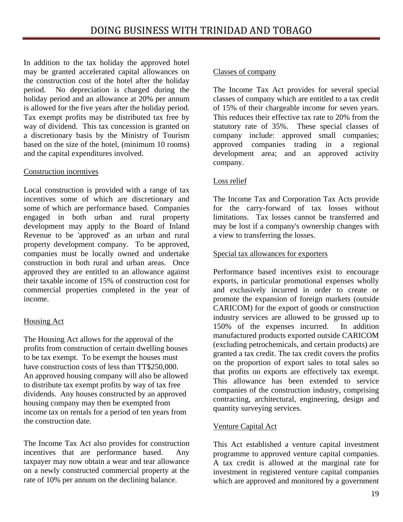In addition to the tax holiday the approved hotel may be granted accelerated capital allowances on the construction cost of the hotel after the holiday period. No depreciation is charged during the holiday period and an allowance at 20% per annum is allowed for the five years after the holiday period. Tax exempt profits may be distributed tax free by way of dividend. This tax concession is granted on a discretionary basis by the Ministry of Tourism based on the size of the hotel, (minimum 10 rooms) and the capital expenditures involved.

# Construction incentives

Local construction is provided with a range of tax incentives some of which are discretionary and some of which are performance based. Companies engaged in both urban and rural property development may apply to the Board of Inland Revenue to be 'approved' as an urban and rural property development company. To be approved, companies must be locally owned and undertake construction in both rural and urban areas. Once approved they are entitled to an allowance against their taxable income of 15% of construction cost for commercial properties completed in the year of income.

# Housing Act

The Housing Act allows for the approval of the profits from construction of certain dwelling houses to be tax exempt. To be exempt the houses must have construction costs of less than TT\$250,000. An approved housing company will also be allowed to distribute tax exempt profits by way of tax free dividends. Any houses constructed by an approved housing company may then be exempted from income tax on rentals for a period of ten years from the construction date.

The Income Tax Act also provides for construction incentives that are performance based. Any taxpayer may now obtain a wear and tear allowance on a newly constructed commercial property at the rate of 10% per annum on the declining balance.

# Classes of company

The Income Tax Act provides for several special classes of company which are entitled to a tax credit of 15% of their chargeable income for seven years. This reduces their effective tax rate to 20% from the statutory rate of 35%. These special classes of company include: approved small companies; approved companies trading in a regional development area; and an approved activity company.

# Loss relief

The Income Tax and Corporation Tax Acts provide for the carry-forward of tax losses without limitations. Tax losses cannot be transferred and may be lost if a company's ownership changes with a view to transferring the losses.

# Special tax allowances for exporters

Performance based incentives exist to encourage exports, in particular promotional expenses wholly and exclusively incurred in order to create or promote the expansion of foreign markets (outside CARICOM) for the export of goods or construction industry services are allowed to be grossed up to 150% of the expenses incurred. In addition manufactured products exported outside CARICOM (excluding petrochemicals, and certain products) are granted a tax credit. The tax credit covers the profits on the proportion of export sales to total sales so that profits on exports are effectively tax exempt. This allowance has been extended to service companies of the construction industry, comprising contracting, architectural, engineering, design and quantity surveying services.

# Venture Capital Act

This Act established a venture capital investment programme to approved venture capital companies. A tax credit is allowed at the marginal rate for investment in registered venture capital companies which are approved and monitored by a government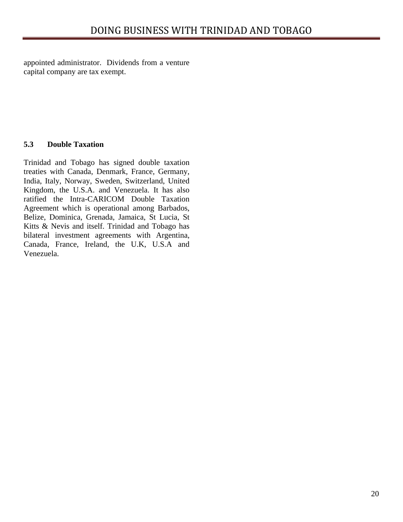<span id="page-19-0"></span>appointed administrator. Dividends from a venture capital company are tax exempt.

# **5.3 Double Taxation**

Trinidad and Tobago has signed double taxation treaties with Canada, Denmark, France, Germany, India, Italy, Norway, Sweden, Switzerland, United Kingdom, the U.S.A. and Venezuela. It has also ratified the Intra-CARICOM Double Taxation Agreement which is operational among Barbados, Belize, Dominica, Grenada, Jamaica, St Lucia, St Kitts & Nevis and itself. Trinidad and Tobago has bilateral investment agreements with Argentina, Canada, France, Ireland, the U.K, U.S.A and Venezuela.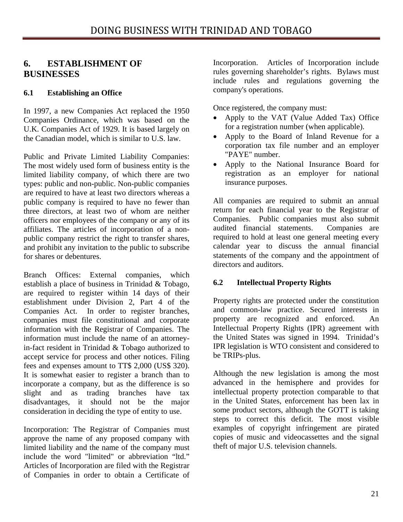# <span id="page-20-0"></span>**6. ESTABLISHMENT OF BUSINESSES**

# **6.1 Establishing an Office**

In 1997, a new Companies Act replaced the 1950 Companies Ordinance, which was based on the U.K. Companies Act of 1929. It is based largely on the Canadian model, which is similar to U.S. law.

Public and Private Limited Liability Companies: The most widely used form of business entity is the limited liability company, of which there are two types: public and non-public. Non-public companies are required to have at least two directors whereas a public company is required to have no fewer than three directors, at least two of whom are neither officers nor employees of the company or any of its affiliates. The articles of incorporation of a nonpublic company restrict the right to transfer shares, and prohibit any invitation to the public to subscribe for shares or debentures.

Branch Offices: External companies, which establish a place of business in Trinidad & Tobago, are required to register within 14 days of their establishment under Division 2, Part 4 of the Companies Act. In order to register branches, companies must file constitutional and corporate information with the Registrar of Companies. The information must include the name of an attorneyin-fact resident in Trinidad & Tobago authorized to accept service for process and other notices. Filing fees and expenses amount to TT\$ 2,000 (US\$ 320). It is somewhat easier to register a branch than to incorporate a company, but as the difference is so slight and as trading branches have tax disadvantages, it should not be the major consideration in deciding the type of entity to use.

Incorporation: The Registrar of Companies must approve the name of any proposed company with limited liability and the name of the company must include the word "limited" or abbreviation "ltd." Articles of Incorporation are filed with the Registrar of Companies in order to obtain a Certificate of

Incorporation. Articles of Incorporation include rules governing shareholder's rights. Bylaws must include rules and regulations governing the company's operations.

Once registered, the company must:

- Apply to the VAT (Value Added Tax) Office for a registration number (when applicable).
- Apply to the Board of Inland Revenue for a corporation tax file number and an employer "PAYE" number.
- Apply to the National Insurance Board for registration as an employer for national insurance purposes.

All companies are required to submit an annual return for each financial year to the Registrar of Companies. Public companies must also submit audited financial statements. Companies are required to hold at least one general meeting every calendar year to discuss the annual financial statements of the company and the appointment of directors and auditors.

# **6.2 Intellectual Property Rights**

Property rights are protected under the constitution and common-law practice. Secured interests in property are recognized and enforced. An Intellectual Property Rights (IPR) agreement with the United States was signed in 1994. Trinidad's IPR legislation is WTO consistent and considered to be TRIPs-plus.

Although the new legislation is among the most advanced in the hemisphere and provides for intellectual property protection comparable to that in the United States, enforcement has been lax in some product sectors, although the GOTT is taking steps to correct this deficit. The most visible examples of copyright infringement are pirated copies of music and videocassettes and the signal theft of major U.S. television channels.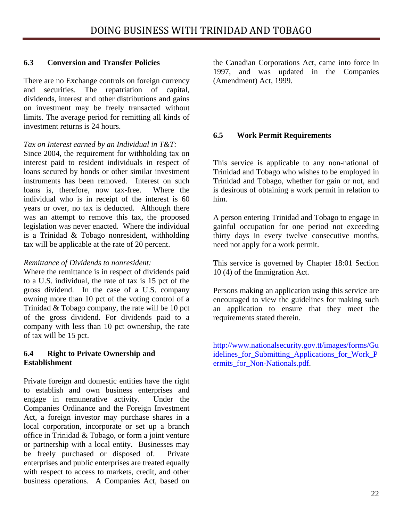# <span id="page-21-0"></span>**6.3 Conversion and Transfer Policies**

There are no Exchange controls on foreign currency and securities. The repatriation of capital, dividends, interest and other distributions and gains on investment may be freely transacted without limits. The average period for remitting all kinds of investment returns is 24 hours.

# *Tax on Interest earned by an Individual in T&T:*

Since 2004, the requirement for withholding tax on interest paid to resident individuals in respect of loans secured by bonds or other similar investment instruments has been removed. Interest on such loans is, therefore, now tax-free. Where the individual who is in receipt of the interest is 60 years or over, no tax is deducted. Although there was an attempt to remove this tax, the proposed legislation was never enacted. Where the individual is a Trinidad & Tobago nonresident, withholding tax will be applicable at the rate of 20 percent.

# *Remittance of Dividends to nonresident:*

Where the remittance is in respect of dividends paid to a U.S. individual, the rate of tax is 15 pct of the gross dividend. In the case of a U.S. company owning more than 10 pct of the voting control of a Trinidad & Tobago company, the rate will be 10 pct of the gross dividend. For dividends paid to a company with less than 10 pct ownership, the rate of tax will be 15 pct.

# **6.4 Right to Private Ownership and Establishment**

Private foreign and domestic entities have the right to establish and own business enterprises and engage in remunerative activity. Under the Companies Ordinance and the Foreign Investment Act, a foreign investor may purchase shares in a local corporation, incorporate or set up a branch office in Trinidad & Tobago, or form a joint venture or partnership with a local entity. Businesses may be freely purchased or disposed of. Private enterprises and public enterprises are treated equally with respect to access to markets, credit, and other business operations. A Companies Act, based on

the Canadian Corporations Act, came into force in 1997, and was updated in the Companies (Amendment) Act, 1999.

# **6.5 Work Permit Requirements**

This service is applicable to any non-national of Trinidad and Tobago who wishes to be employed in Trinidad and Tobago, whether for gain or not, and is desirous of obtaining a work permit in relation to him.

A person entering Trinidad and Tobago to engage in gainful occupation for one period not exceeding thirty days in every twelve consecutive months, need not apply for a work permit.

This service is governed by Chapter 18:01 Section 10 (4) of the Immigration Act.

Persons making an application using this service are encouraged to view the guidelines for making such an application to ensure that they meet the requirements stated therein.

[http://www.nationalsecurity.gov.tt/images/forms/Gu](http://www.nationalsecurity.gov.tt/images/forms/Guidelines_for_Submitting_Applications_for_Work_Permits_for_Non-Nationals.pdf) [idelines\\_for\\_Submitting\\_Applications\\_for\\_Work\\_P](http://www.nationalsecurity.gov.tt/images/forms/Guidelines_for_Submitting_Applications_for_Work_Permits_for_Non-Nationals.pdf) ermits for Non-Nationals.pdf.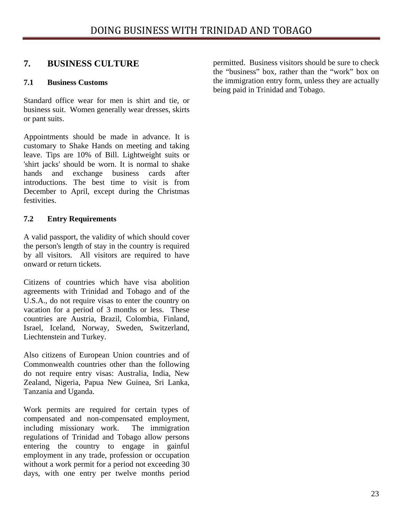# <span id="page-22-0"></span>**7. BUSINESS CULTURE**

# **7.1 Business Customs**

Standard office wear for men is shirt and tie, or business suit. Women generally wear dresses, skirts or pant suits.

Appointments should be made in advance. It is customary to Shake Hands on meeting and taking leave. Tips are 10% of Bill. Lightweight suits or 'shirt jacks' should be worn. It is normal to shake hands and exchange business cards after introductions. The best time to visit is from December to April, except during the Christmas festivities.

# **7.2 Entry Requirements**

A valid passport, the validity of which should cover the person's length of stay in the country is required by all visitors. All visitors are required to have onward or return tickets.

Citizens of countries which have visa abolition agreements with Trinidad and Tobago and of the U.S.A., do not require visas to enter the country on vacation for a period of 3 months or less. These countries are Austria, Brazil, Colombia, Finland, Israel, Iceland, Norway, Sweden, Switzerland, Liechtenstein and Turkey.

Also citizens of European Union countries and of Commonwealth countries other than the following do not require entry visas: Australia, India, New Zealand, Nigeria, Papua New Guinea, Sri Lanka, Tanzania and Uganda.

Work permits are required for certain types of compensated and non-compensated employment, including missionary work. The immigration regulations of Trinidad and Tobago allow persons entering the country to engage in gainful employment in any trade, profession or occupation without a work permit for a period not exceeding 30 days, with one entry per twelve months period permitted. Business visitors should be sure to check the "business" box, rather than the "work" box on the immigration entry form, unless they are actually being paid in Trinidad and Tobago.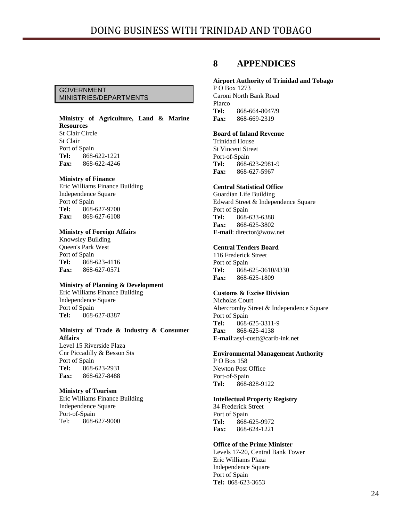## <span id="page-23-0"></span>GOVERNMENT MINISTRIES/DEPARTMENTS

#### **Ministry of Agriculture, Land & Marine Resources** St Clair Circle St Clair Port of Spain **Tel:** 868-622-1221 **Fax:** 868-622-4246

#### **Ministry of Finance**

Eric Williams Finance Building Independence Square Port of Spain **Tel:** 868-627-9700 **Fax:** 868-627-6108

## **Ministry of Foreign Affairs**

Knowsley Building Queen's Park West Port of Spain **Tel:** 868-623-4116 **Fax:** 868-627-0571

#### **Ministry of Planning & Development**

Eric Williams Finance Building Independence Square Port of Spain **Tel:** 868-627-8387

#### **Ministry of Trade & Industry & Consumer Affairs**

Level 15 Riverside Plaza Cnr Piccadilly & Besson Sts Port of Spain **Tel:** 868-623-2931 **Fax:** 868-627-8488

#### **Ministry of Tourism**

Eric Williams Finance Building Independence Square Port-of-Spain Tel: 868-627-9000

# **8 APPENDICES**

## **Airport Authority of Trinidad and Tobago**

P O Box 1273 Caroni North Bank Road Piarco **Tel:** 868-664-8047/9 **Fax:** 868-669-2319

#### **Board of Inland Revenue**

Trinidad House St Vincent Street Port-of-Spain **Tel:** 868-623-2981-9 **Fax:** 868-627-5967

## **Central Statistical Office**

Guardian Life Building Edward Street & Independence Square Port of Spain **Tel:** 868-633-6388 **Fax:** 868-625-3802 **E-mail**: director@wow.net

#### **Central Tenders Board**

116 Frederick Street Port of Spain **Tel:** 868-625-3610/4330 **Fax:** 868-625-1809

## **Customs & Excise Division**

Nicholas Court Abercromby Street & Independence Square Port of Spain **Tel:** 868-625-3311-9 **Fax:** 868-625-4138 **E-mail**:asyl-custt@carib-ink.net

#### **Environmental Management Authority**

P O Box 158 Newton Post Office Port-of-Spain **Tel:** 868-828-9122

#### **Intellectual Property Registry**

34 Frederick Street Port of Spain **Tel:** 868-625-9972 **Fax:** 868-624-1221

#### **Office of the Prime Minister**

Levels 17-20, Central Bank Tower Eric Williams Plaza Independence Square Port of Spain **Tel:** 868-623-3653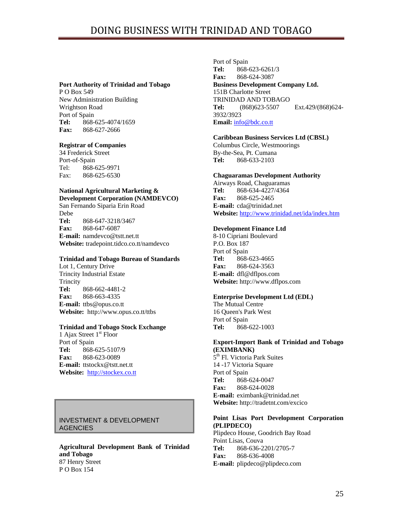#### **Port Authority of Trinidad and Tobago**

P O Box 549 New Administration Building Wrightson Road Port of Spain **Tel:** 868-625-4074/1659 **Fax:** 868-627-2666

## **Registrar of Companies**

34 Frederick Street Port-of-Spain Tel: 868-625-9971 Fax: 868-625-6530

#### **National Agricultural Marketing & Development Corporation (NAMDEVCO)**

San Fernando Siparia Erin Road Debe **Tel:** 868-647-3218/3467 **Fax:** 868-647-6087 **E-mail:** namdevco@tstt.net.tt **Website:** tradepoint.tidco.co.tt/namdevco

#### **Trinidad and Tobago Bureau of Standards**

Lot 1, Century Drive Trincity Industrial Estate **Trincity Tel:** 868-662-4481-2 **Fax:** 868-663-4335 **E-mail:** ttbs@opus.co.tt **Website:** http://www.opus.co.tt/ttbs

## **Trinidad and Tobago Stock Exchange**

1 Ajax Street 1<sup>st</sup> Floor Port of Spain **Tel:** 868-625-5107/9 **Fax:** 868-623-0089 **E-mail:** ttstockx@tstt.net.tt **Website:** [http://stockex.co.tt](http://stockex.co.tt/)

# INVESTMENT & DEVELOPMENT **AGENCIES**

**Agricultural Development Bank of Trinidad and Tobago** 87 Henry Street P O Box 154

Port of Spain **Tel:** 868-623-6261/3 **Fax:** 868-624-3087 **Business Development Company Ltd.**  151B Charlotte Street TRINIDAD AND TOBAGO **Tel:** (868)623-5507 Ext.429/(868)624- 3932/3923 **Email:** [info@bdc.co.tt](mailto:info@bdc.co.tt)

## **Caribbean Business Services Ltd (CBSL)**

Columbus Circle, Westmoorings By-the-Sea, Pt. Cumana **Tel:** 868-633-2103

#### **Chaguaramas Development Authority**

Airways Road, Chaguaramas **Tel:** 868-634-4227/4364 **Fax:** 868-625-2465 **E-mail:** cda@trinidad.net **Website:** <http://www.trinidad.net/ida/index.htm>

## **Development Finance Ltd**

8-10 Cipriani Boulevard P.O. Box 187 Port of Spain **Tel:** 868-623-4665 **Fax:** 868-624-3563 **E-mail:** dfl@dflpos.com **Website:** http://www.dflpos.com

## **Enterprise Development Ltd (EDL)**

The Mutual Centre 16 Queen's Park West Port of Spain **Tel:** 868-622-1003

## **Export-Import Bank of Trinidad and Tobago (EXIMBANK)**

5<sup>th</sup> Fl. Victoria Park Suites 14 -17 Victoria Square Port of Spain **Tel:** 868-624-0047 **Fax:** 868-624-0028 **E-mail:** eximbank@trinidad.net **Website:** http://tradetnt.com/excico

## **Point Lisas Port Development Corporation (PLIPDECO)**

Plipdeco House, Goodrich Bay Road Point Lisas, Couva **Tel:** 868-636-2201/2705-7 **Fax:** 868-636-4008 **E-mail:** plipdeco@plipdeco.com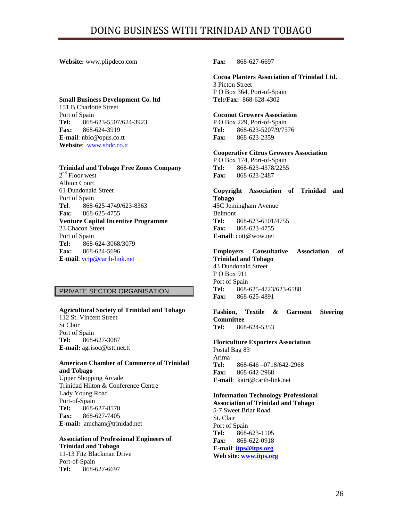## **Website:** www.plipdeco.com

#### **Small Business Development Co. ltd**

151 B Charlotte Street Port of Spain **Tel:** 868-623-5507/624-3923 **Fax:** 868-624-3919 **E-mail**: nbic@opus.co.tt **Website**: [www.sbdc.co.tt](http://www.sbdc.co.tt/)

#### **Trinidad and Tobago Free Zones Company**

 $2<sup>nd</sup>$  Floor west Albion Court 61 Dundonald Street Port of Spain **Tel**: 868-625-4749/623-8363 **Fax:** 868-625-4755 **Venture Capital Incentive Programme**  23 Chacon Street Port of Spain **Tel:** 868-624-3068/3079 **Fax:** 868-624-5696 **E-mail**: [vcip@carib-link.net](mailto:vcip@carib-link.net)

## PRIVATE SECTOR ORGANISATION

#### **Agricultural Society of Trinidad and Tobago**

112 St. Vincent Street St Clair Port of Spain **Tel:** 868-627-3087 **E-mail:** agrisoc@tstt.net.tt

## **American Chamber of Commerce of Trinidad and Tobago**

Upper Shopping Arcade Trinidad Hilton & Conference Centre Lady Young Road Port-of-Spain **Tel:** 868-627-8570 **Fax:** 868-627-7405 **E-mail:** amcham@trinidad.net

#### **Association of Professional Engineers of Trinidad and Tobago**  11-13 Fitz Blackman Drive Port-of-Spain

**Tel:** 868-627-6697

**Fax:** 868-627-6697

#### **Cocoa Planters Association of Trinidad Ltd.**  3 Picton Street

P O Box 364, Port-of-Spain **Tel:/Fax:** 868-628-4302

#### **Coconut Growers Association**

P O Box 229, Port-of-Spain **Tel:** 868-623-5207/9/7576 **Fax:** 868-623-2359

#### **Cooperative Citrus Growers Association**

P O Box 174, Port-of-Spain **Tel:** 868-623-4378/2255 **Fax:** 868-623-2487

**Copyright Association of Trinidad and Tobago**  45C Jemingham Avenue Belmont **Tel:** 868-623-6101/4755 **Fax:** 868-623-4755 **E-mail**: cott@wow.net

#### **Employers Consultative Association of Trinidad and Tobago** 43 Dundonald Street

P O Box 911 Port of Spain **Tel:** 868-625-4723/623-6588 **Fax:** 868-625-4891

**Fashion, Textile & Garment Steering Committee Tel:** 868-624-5353

#### **Floriculture Exporters Association**

Postal Bag 83 Arima **Tel:** 868-646 –0718/642-2968 **Fax:** 868-642-2968 **E-mail**: kairi@carib-link.net

#### **Information Technology Professional Association of Trinidad and Tobago**

5-7 Sweet Briar Road St. Clair Port of Spain **Tel:** 868-623-1105 **Fax:** 868-622-0918 **E-mail**: **[itps@itps.org](mailto:itps@itps.org) Web site**: **[www.itps.org](http://www.itps.org/)**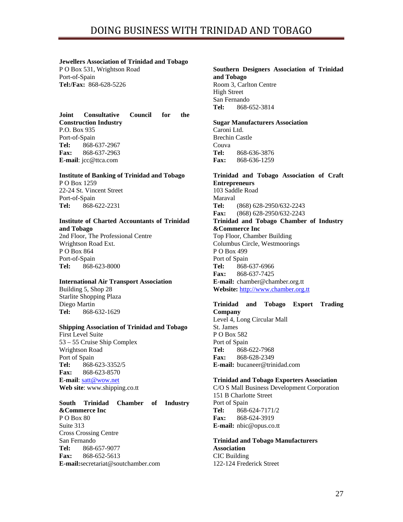#### **Jewellers Association of Trinidad and Tobago**

P O Box 531, Wrightson Road Port-of-Spain **Tel:/Fax:** 868-628-5226

#### **Joint Consultative Council for the Construction Industry** P.O. Box 935 Port-of-Spain **Tel:** 868-637-2967 **Fax:** 868-637-2963 **E-mail**: jcc@ttca.com

## **Institute of Banking of Trinidad and Tobago**

P O Box 1259 22-24 St. Vincent Street Port-of-Spain **Tel:** 868-622-2231

# **Institute of Charted Accountants of Trinidad and Tobago**

2nd Floor, The Professional Centre Wrightson Road Ext. P O Box 864 Port-of-Spain **Tel:** 868-623-8000

## **International Air Transport Association**

Building 5, Shop 28 Starlite Shopping Plaza Diego Martin **Tel:** 868-632-1629

## **Shipping Association of Trinidad and Tobago**

First Level Suite 53 – 55 Cruise Ship Complex Wrightson Road Port of Spain **Tel:** 868-623-3352/5 **Fax:** 868-623-8570 **E-mail**: [satt@wow.net](mailto:satt@wow.net) **Web site**: www.shipping.co.tt

## **South Trinidad Chamber of Industry**

**&Commerce Inc**  P O Box 80 Suite 313 Cross Crossing Centre San Fernando **Tel:** 868-657-9077 **Fax:** 868-652-5613 **E-mail:**secretariat@soutchamber.com

#### **Southern Designers Association of Trinidad and Tobago** Room 3, Carlton Centre High Street San Fernando **Tel:** 868-652-3814

## **Sugar Manufacturers Association**

Caroni Ltd. Brechin Castle Couva **Tel:** 868-636-3876 **Fax:** 868-636-1259

# **Trinidad and Tobago Association of Craft Entrepreneurs**

103 Saddle Road Maraval **Tel:** (868) 628-2950/632-2243 **Fax:** (868) 628-2950/632-2243 **Trinidad and Tobago Chamber of Industry &Commerce Inc** Top Floor, Chamber Building Columbus Circle, Westmoorings P O Box 499 Port of Spain **Tel:** 868-637-6966 **Fax:** 868-637-7425 **E-mail:** chamber@chamber.org.tt **Website:** [http://www.chamber.org.tt](http://www.chamber.org.tt/)

## **Trinidad and Tobago Export Trading Company** Level 4, Long Circular Mall St. James P O Box 582 Port of Spain **Tel:** 868-622-7968 **Fax:** 868-628-2349

**E-mail:** bucaneer@trinidad.com

## **Trinidad and Tobago Exporters Association**

C/O S Mall Business Development Corporation 151 B Charlotte Street Port of Spain **Tel:** 868-624-7171/2 **Fax:** 868-624-3919 **E-mail:** nbic@opus.co.tt

**Trinidad and Tobago Manufacturers Association** CIC Building 122-124 Frederick Street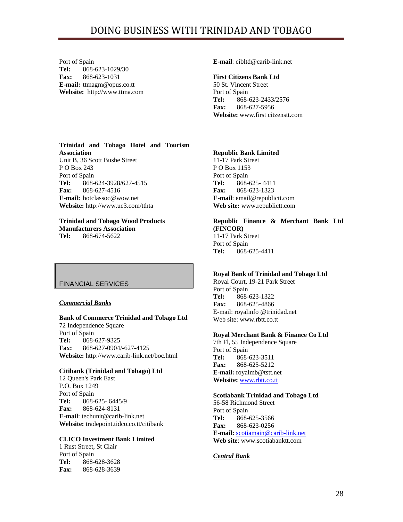Port of Spain **Tel:** 868-623-1029/30 **Fax:** 868-623-1031 **E-mail:** ttmagm@opus.co.tt **Website:** http://www.ttma.com **E-mail**: cibltd@carib-link.net

#### **First Citizens Bank Ltd**

50 St. Vincent Street Port of Spain **Tel:** 868-623-2433/2576 **Fax:** 868-627-5956 **Website:** www.first citzenstt.com

## **Trinidad and Tobago Hotel and Tourism Association**

Unit B, 36 Scott Bushe Street P O Box 243 Port of Spain **Tel:** 868-624-3928/627-4515 **Fax:** 868-627-4516 **E-mail:** hotclassoc@wow.net **Website:** http://www.uc3.com/tthta

# **Trinidad and Tobago Wood Products Manufacturers Association**

**Tel:** 868-674-5622

# FINANCIAL SERVICES

## *Commercial Banks*

#### **Bank of Commerce Trinidad and Tobago Ltd** 72 Independence Square Port of Spain **Tel:** 868-627-9325 **Fax:** 868-627-0904/-627-4125 **Website:** http://www.carib-link.net/boc.html

## **Citibank (Trinidad and Tobago) Ltd**

12 Queen's Park East P.O. Box 1249 Port of Spain **Tel:** 868-625- 6445/9 **Fax:** 868-624-8131 **E-mail**: techunit@carib-link.net **Website:** tradepoint.tidco.co.tt/citibank

## **CLICO Investment Bank Limited**

1 Rust Street, St Clair Port of Spain **Tel:** 868-628-3628 **Fax:** 868-628-3639

## **Republic Bank Limited**

11-17 Park Street P O Box 1153 Port of Spain **Tel:** 868-625- 4411 **Fax:** 868-623-1323 **E-mail**: email@republictt.com **Web site:** www.republictt.com

# **Republic Finance & Merchant Bank Ltd (FINCOR)**

11-17 Park Street Port of Spain **Tel:** 868-625-4411

## **Royal Bank of Trinidad and Tobago Ltd**

Royal Court, 19-21 Park Street Port of Spain **Tel:** 868-623-1322 **Fax:** 868-625-4866 E-mail: royalinfo @trinidad.net Web site: www.rbtt.co.tt

## **Royal Merchant Bank & Finance Co Ltd**

7th Fl, 55 Independence Square Port of Spain **Tel:** 868-623-3511 **Fax:** 868-625-5212 **E-mail:** royalmb@tstt.net **Website:** [www.rbtt.co.tt](http://www.rbtt.co.tt/)

## **Scotiabank Trinidad and Tobago Ltd**

56-58 Richmond Street Port of Spain **Tel:** 868-625-3566 **Fax:** 868-623-0256 **E-mail:** [scotiamain@carib-link.net](mailto:scotiamain@carib-link.net) **Web site**: www.scotiabanktt.com

## *Central Bank*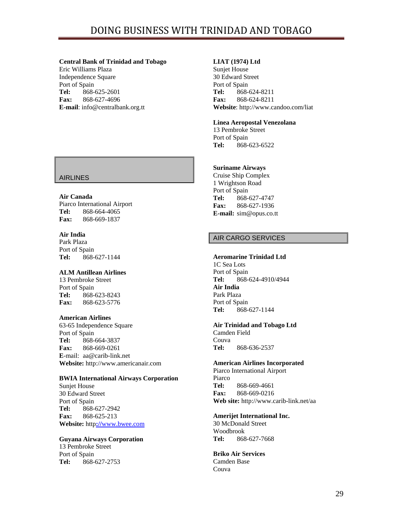### **Central Bank of Trinidad and Tobago**

Eric Williams Plaza Independence Square Port of Spain **Tel:** 868-625-2601 **Fax:** 868-627-4696 **E-mail**: info@centralbank.org.tt

# AIRLINES

## **Air Canada**

Piarco International Airport **Tel:** 868-664-4065 **Fax:** 868-669-1837

## **Air India**

Park Plaza Port of Spain **Tel:** 868-627-1144

## **ALM Antillean Airlines**

13 Pembroke Street Port of Spain **Tel:** 868-623-8243 **Fax:** 868-623-5776

## **American Airlines**

63-65 Independence Square Port of Spain **Tel:** 868-664-3837 **Fax:** 868-669-0261 **E**-mail: aa@carib-link.net **Website:** http://www.americanair.com

## **BWIA International Airways Corporation**

Sunjet House 30 Edward Street Port of Spain **Tel:** 868-627-2942 **Fax:** 868-625-213 **Website:** http**://**www.bwee.com

## **Guyana Airways Corporation**

13 Pembroke Street Port of Spain **Tel:** 868-627-2753

## **LIAT (1974) Ltd**

Sunjet House 30 Edward Street Port of Spain **Tel:** 868-624-8211 **Fax:** 868-624-8211 **Website**: http://www.candoo.com/liat

## **Linea Aeropostal Venezolana**

13 Pembroke Street Port of Spain **Tel:** 868-623-6522

## **Suriname Airways**

Cruise Ship Complex 1 Wrightson Road Port of Spain **Tel:** 868-627-4747 **Fax:** 868-627-1936 **E-mail:** sim@opus.co.tt

# AIR CARGO SERVICES

## **Aeromarine Trinidad Ltd**

1C Sea Lots Port of Spain **Tel:** 868-624-4910/4944 **Air India**  Park Plaza Port of Spain **Tel:** 868-627-1144

## **Air Trinidad and Tobago Ltd**

Camden Field Couva **Tel:** 868-636-2537

## **American Airlines Incorporated**

Piarco International Airport Piarco **Tel:** 868-669-4661 **Fax:** 868-669-0216 **Web site:** http://www.carib-link.net/aa

## **Amerijet International Inc.**

30 McDonald Street Woodbrook **Tel:** 868-627-7668

#### **Briko Air Services**  Camden Base Couva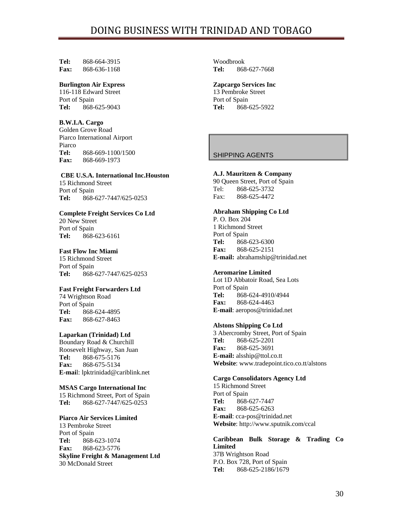**Tel:** 868-664-3915 **Fax:** 868-636-1168

#### **Burlington Air Express**

116-118 Edward Street Port of Spain **Tel:** 868-625-9043

#### **B.W.I.A. Cargo**

Golden Grove Road Piarco International Airport Piarco **Tel:** 868-669-1100/1500 **Fax:** 868-669-1973

#### **CBE U.S.A. International Inc.Houston**

15 Richmond Street Port of Spain **Tel:** 868-627-7447/625-0253

## **Complete Freight Services Co Ltd**

20 New Street Port of Spain **Tel:** 868-623-6161

## **Fast Flow Inc Miami**

15 Richmond Street Port of Spain **Tel:** 868-627-7447/625-0253

## **Fast Freight Forwarders Ltd**

74 Wrightson Road Port of Spain **Tel:** 868-624-4895 **Fax:** 868-627-8463

## **Laparkan (Trinidad) Ltd**

Boundary Road & Churchill Roosevelt Highway, San Juan **Tel:** 868-675-5176 **Fax:** 868-675-5134 **E-mai**l: lpktrinidad@cariblink.net

#### **MSAS Cargo International Inc**

15 Richmond Street, Port of Spain **Tel:** 868-627-7447/625-0253

#### **Piarco Air Services Limited**

13 Pembroke Street Port of Spain **Tel:** 868-623-1074 **Fax:** 868-623-5776 **Skyline Freight & Management Ltd** 30 McDonald Street

Woodbrook **Tel:** 868-627-7668

## **Zapcargo Services Inc**

13 Pembroke Street Port of Spain **Tel:** 868-625-5922

## SHIPPING AGENTS

#### **A.J. Mauritzen & Company**

90 Queen Street, Port of Spain Tel: 868-625-3732 Fax: 868-625-4472

#### **Abraham Shipping Co Ltd**

P. O. Box 204 1 Richmond Street Port of Spain **Tel:** 868-623-6300 **Fax:** 868-625-2151 **E-mail:** abrahamship@trinidad.net

#### **Aeromarine Limited**

Lot 1D Abbatoir Road, Sea Lots Port of Spain **Tel:** 868-624-4910/4944 **Fax:** 868-624-4463 **E-mail**: aeropos@trinidad.net

#### **Alstons Shipping Co Ltd**

3 Abercromby Street, Port of Spain **Tel:** 868-625-2201 **Fax:** 868-625-3691 **E-mail:** alsship@ttol.co.tt **Website**: www.tradepoint.tico.co.tt/alstons

#### **Cargo Consolidators Agency Ltd**

15 Richmond Street Port of Spain **Tel:** 868-627-7447 **Fax:** 868-625-6263 **E-mail**: cca-pos@trinidad.net **Website**: http://www.sputnik.com/ccal

**Caribbean Bulk Storage & Trading Co Limited** 37B Wrightson Road P.O. Box 728, Port of Spain **Tel:** 868-625-2186/1679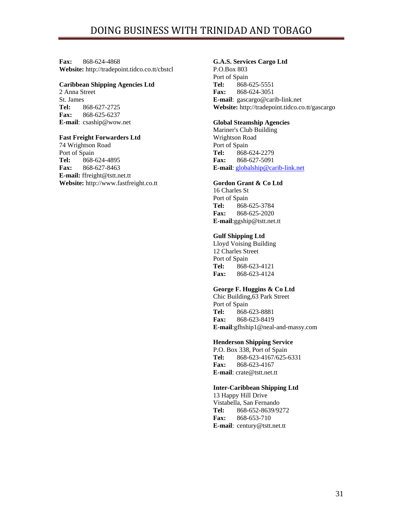**Fax:** 868-624-4868 **Website:** http://tradepoint.tidco.co.tt/cbstcl

#### **Caribbean Shipping Agencies Ltd**

2 Anna Street St. James **Tel:** 868-627-2725 **Fax:** 868-625-6237 **E-mail**: csaship@wow.net

#### **Fast Freight Forwarders Ltd**

74 Wrightson Road Port of Spain **Tel:** 868-624-4895 **Fax:** 868-627-8463 **E-mail:** ffreight@tstt.net.tt **Website:** http://www.fastfreight.co.tt

## **G.A.S. Services Cargo Ltd**

P.O.Box 803 Port of Spain **Tel:** 868-625-5551 **Fax:** 868-624-3051 **E-mail**: gascargo@carib-link.net **Website:** http://tradepoint.tidco.co.tt/gascargo

#### **Global Steamship Agencies**

Mariner's Club Building Wrightson Road Port of Spain **Tel:** 868-624-2279 **Fax:** 868-627-5091 **E-mail**: [globalship@carib-link.net](mailto:globalship@carib-link.net)

## **Gordon Grant & Co Ltd**

16 Charles St Port of Spain **Tel:** 868-625-3784 **Fax:** 868-625-2020 **E-mail**:ggship@tstt.net.tt

#### **Gulf Shipping Ltd**

Lloyd Voising Building 12 Charles Street Port of Spain **Tel:** 868-623-4121 **Fax:** 868-623-4124

## **George F. Huggins & Co Ltd**

Chic Building,63 Park Street Port of Spain **Tel:** 868-623-8881 **Fax:** 868-623-8419 **E-mail**:gfhship1@neal-and-massy.com

#### **Henderson Shipping Service**

P.O. Box 338, Port of Spain **Tel:** 868-623-4167/625-6331 **Fax:** 868-623-4167 **E-mail**: crate@tstt.net.tt

## **Inter-Caribbean Shipping Ltd**

13 Happy Hill Drive Vistabella, San Fernando **Tel:** 868-652-8639/9272 **Fax:** 868-653-710 **E-mail**: century@tstt.net.tt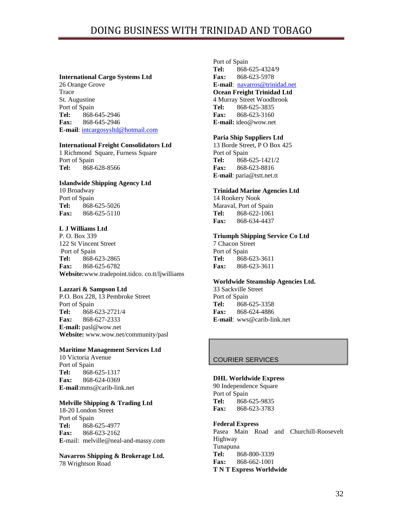#### **International Cargo Systems Ltd**

26 Orange Grove Trace St. Augustine Port of Spain **Tel:** 868-645-2946 **Fax:** 868-645-2946 **E-mail**: [intcargosysltd@hotmail.com](mailto:intcargosysltd@hotmail.com)

## **International Freight Consolidators Ltd**

1 Richmond Square, Furness Square Port of Spain **Tel:** 868-628-8566

#### **Islandwide Shipping Agency Ltd**

10 Broadway Port of Spain **Tel:** 868-625-5026 **Fax:** 868-625-5110

# **L J Williams Ltd**

P. O. Box 339 122 St Vincent Street Port of Spain **Tel:** 868-623-2865 **Fax:** 868-625-6782 **Website:**www.tradepoint.tidco. co.tt/ljwilliams

#### **Lazzari & Sampson Ltd**

P.O. Box 228, 13 Pembroke Street Port of Spain **Tel:** 868-623-2721/4 **Fax:** 868-627-2333 **E-mail:** pasl@wow.net **Website:** www.wow.net/community/pasl

#### **Maritime Management Services Ltd**

10 Victoria Avenue Port of Spain **Tel:** 868-625-1317 **Fax:** 868-624-0369 **E-mail**:mms@carib-link.net

#### **Melville Shipping & Trading Ltd**

18-20 London Street Port of Spain **Tel:** 868-625-4977 **Fax:** 868-623-2162 **E-**mail: melville@neal-and-massy.com

# **Navarros Shipping & Brokerage Ltd.**

78 Wrightson Road

Port of Spain **Tel:** 868-625-4324/9 **Fax:** 868-623-5978 **E-mail**: [navarros@trinidad.net](mailto:navarros@trinidad.net) **Ocean Freight Trinidad Ltd** 4 Murray Street Woodbrook **Tel:** 868-625-3835 **Fax:** 868-623-3160 **E-mail:** ideo@wow.net

#### **Paria Ship Suppliers Ltd**

13 Borde Street, P O Box 425 Port of Spain **Tel:** 868-625-1421/2 **Fax:** 868-623-8816 **E-mail**: paria@tstt.net.tt

#### **Trinidad Marine Agencies Ltd**

14 Rookery Nook Maraval, Port of Spain **Tel:** 868-622-1061 **Fax:** 868-634-4437

#### **Triumph Shipping Service Co Ltd**

7 Chacon Street Port of Spain **Tel:** 868-623-3611 **Fax:** 868-623-3611

#### **Worldwide Steamship Agencies Ltd.**

33 Sackville Street Port of Spain **Tel:** 868-625-3358 **Fax:** 868-624-4886 **E-mail**: wws@carib-link.net

## COURIER SERVICES

## **DHL Worldwide Express**

90 Independence Square Port of Spain **Tel:** 868-625-9835 **Fax:** 868-623-3783

## **Federal Express**

Pasea Main Road and Churchill-Roosevelt Highway Tunapuna **Tel:** 868-800-3339 **Fax:** 868-662-1001 **T N T Express Worldwide**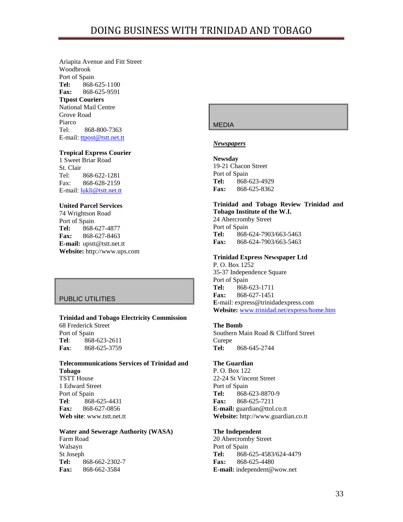Ariapita Avenue and Fitt Street Woodbrook Port of Spain **Tel:** 868-625-1100 **Fax:** 868-625-9591 **Ttpost Couriers** National Mail Centre Grove Road Piarco Tel: 868-800-7363 E-mail: [ttpost@tstt.net.tt](mailto:ttpost@tstt.net.tt)

## **Tropical Express Courier**

1 Sweet Briar Road St. Clair Tel: 868-622-1281 Fax: 868-628-2159 E-mail: [lukli@tstt.net.tt](mailto:lukli@tstt.net.tt)

## **United Parcel Services**

74 Wrightson Road Port of Spain **Tel:** 868-627-4877 **Fax:** 868-627-8463 **E-mail:** upstt@tstt.net.tt **Website:** http://www.ups.com

## PUBLIC UTILITIES

**Trinidad and Tobago Electricity Commission**  68 Frederick Street Port of Spain **Tel**: 868-623-2611 **Fax**: 868-625-3759

## **Telecommunications Services of Trinidad and Tobago**  TSTT House 1 Edward Street

Port of Spain **Tel**: 868-625-4431 **Fax:** 868-627-0856 **Web site**: www.tstt.net.tt

#### **Water and Sewerage Authority (WASA)**

Farm Road Walsayn St Joseph **Tel:** 868-662-2302-7 **Fax:** 868-662-3584

## MEDIA

#### *Newspapers*

**Newsday** 19-21 Chacon Street Port of Spain **Tel:** 868-623-4929 **Fax:** 868-625-8362

## **Trinidad and Tobago Review Trinidad and Tobago Institute of the W.I.**

24 Abercromby Street Port of Spain **Tel:** 868-624-7903/663-5463 **Fax:** 868-624-7903/663-5463

#### **Trinidad Express Newspaper Ltd**

P. O. Box 1252 35-37 Independence Square Port of Spain **Tel:** 868-623-1711 **Fax:** 868-627-1451 **E-**mail: express@trinidadexpress.com **Website:** www.trinidad.net/express/home.htm

#### **The Bomb**

Southern Main Road & Clifford Street Curepe **Tel:** 868-645-2744

#### **The Guardian**

P. O. Box 122 22-24 St Vincent Street Port of Spain **Tel:** 868-623-8870-9 **Fax:** 868-625-7211 **E-mail:** guardian@ttol.co.tt **Website:** http://www.guardian.co.tt

## **The Independent**

20 Abercromby Street Port of Spain **Tel:** 868-625-4583/624-4479 **Fax:** 868-625-4480 **E-mail:** independent@wow.net